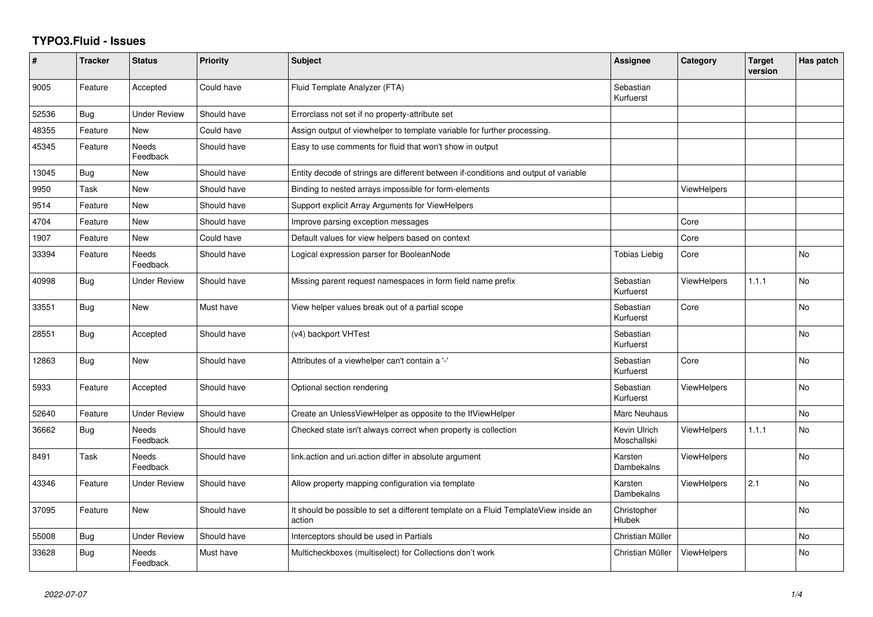## **TYPO3.Fluid - Issues**

| ∦     | <b>Tracker</b> | <b>Status</b>            | <b>Priority</b> | <b>Subject</b>                                                                                | Assignee                    | Category           | <b>Target</b><br>version | Has patch |
|-------|----------------|--------------------------|-----------------|-----------------------------------------------------------------------------------------------|-----------------------------|--------------------|--------------------------|-----------|
| 9005  | Feature        | Accepted                 | Could have      | Fluid Template Analyzer (FTA)                                                                 | Sebastian<br>Kurfuerst      |                    |                          |           |
| 52536 | <b>Bug</b>     | <b>Under Review</b>      | Should have     | Errorclass not set if no property-attribute set                                               |                             |                    |                          |           |
| 48355 | Feature        | New                      | Could have      | Assign output of viewhelper to template variable for further processing.                      |                             |                    |                          |           |
| 45345 | Feature        | Needs<br>Feedback        | Should have     | Easy to use comments for fluid that won't show in output                                      |                             |                    |                          |           |
| 13045 | Bug            | New                      | Should have     | Entity decode of strings are different between if-conditions and output of variable           |                             |                    |                          |           |
| 9950  | Task           | <b>New</b>               | Should have     | Binding to nested arrays impossible for form-elements                                         |                             | <b>ViewHelpers</b> |                          |           |
| 9514  | Feature        | New                      | Should have     | Support explicit Array Arguments for ViewHelpers                                              |                             |                    |                          |           |
| 4704  | Feature        | <b>New</b>               | Should have     | Improve parsing exception messages                                                            |                             | Core               |                          |           |
| 1907  | Feature        | New                      | Could have      | Default values for view helpers based on context                                              |                             | Core               |                          |           |
| 33394 | Feature        | Needs<br>Feedback        | Should have     | Logical expression parser for BooleanNode                                                     | <b>Tobias Liebig</b>        | Core               |                          | <b>No</b> |
| 40998 | <b>Bug</b>     | <b>Under Review</b>      | Should have     | Missing parent request namespaces in form field name prefix                                   | Sebastian<br>Kurfuerst      | <b>ViewHelpers</b> | 1.1.1                    | <b>No</b> |
| 33551 | <b>Bug</b>     | New                      | Must have       | View helper values break out of a partial scope                                               | Sebastian<br>Kurfuerst      | Core               |                          | No        |
| 28551 | <b>Bug</b>     | Accepted                 | Should have     | (v4) backport VHTest                                                                          | Sebastian<br>Kurfuerst      |                    |                          | <b>No</b> |
| 12863 | Bug            | New                      | Should have     | Attributes of a viewhelper can't contain a '-'                                                | Sebastian<br>Kurfuerst      | Core               |                          | <b>No</b> |
| 5933  | Feature        | Accepted                 | Should have     | Optional section rendering                                                                    | Sebastian<br>Kurfuerst      | <b>ViewHelpers</b> |                          | <b>No</b> |
| 52640 | Feature        | Under Review             | Should have     | Create an UnlessViewHelper as opposite to the IfViewHelper                                    | Marc Neuhaus                |                    |                          | <b>No</b> |
| 36662 | Bug            | Needs<br>Feedback        | Should have     | Checked state isn't always correct when property is collection                                | Kevin Ulrich<br>Moschallski | <b>ViewHelpers</b> | 1.1.1                    | No        |
| 8491  | Task           | Needs<br>Feedback        | Should have     | link.action and uri.action differ in absolute argument                                        | Karsten<br>Dambekalns       | <b>ViewHelpers</b> |                          | <b>No</b> |
| 43346 | Feature        | Under Review             | Should have     | Allow property mapping configuration via template                                             | Karsten<br>Dambekalns       | ViewHelpers        | 2.1                      | <b>No</b> |
| 37095 | Feature        | <b>New</b>               | Should have     | It should be possible to set a different template on a Fluid TemplateView inside an<br>action | Christopher<br>Hlubek       |                    |                          | <b>No</b> |
| 55008 | Bug            | Under Review             | Should have     | Interceptors should be used in Partials                                                       | Christian Müller            |                    |                          | No        |
| 33628 | Bug            | <b>Needs</b><br>Feedback | Must have       | Multicheckboxes (multiselect) for Collections don't work                                      | Christian Müller            | <b>ViewHelpers</b> |                          | <b>No</b> |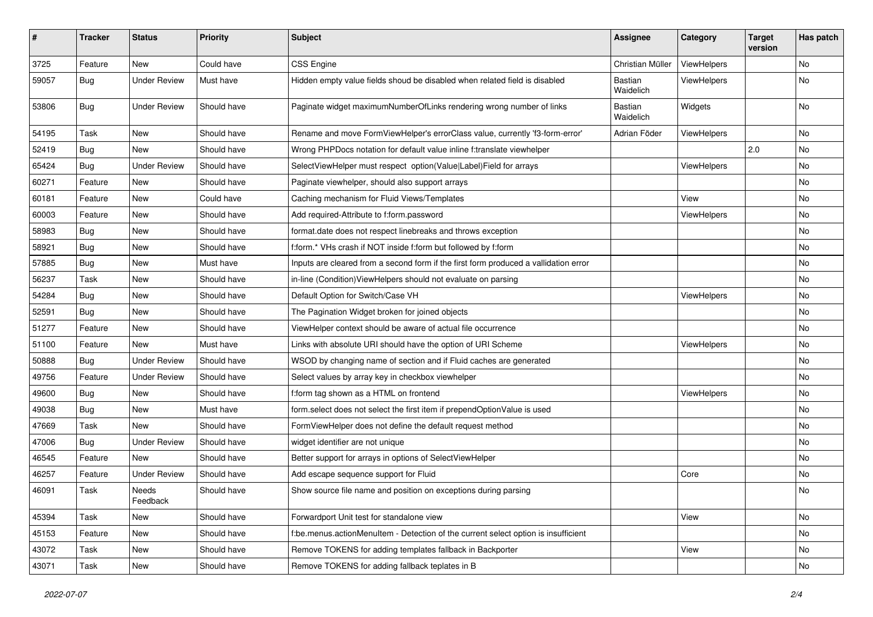| #     | <b>Tracker</b> | <b>Status</b>       | <b>Priority</b> | <b>Subject</b>                                                                       | <b>Assignee</b>             | Category    | <b>Target</b><br>version | Has patch |
|-------|----------------|---------------------|-----------------|--------------------------------------------------------------------------------------|-----------------------------|-------------|--------------------------|-----------|
| 3725  | Feature        | New                 | Could have      | <b>CSS Engine</b>                                                                    | Christian Müller            | ViewHelpers |                          | <b>No</b> |
| 59057 | Bug            | Under Review        | Must have       | Hidden empty value fields shoud be disabled when related field is disabled           | Bastian<br>Waidelich        | ViewHelpers |                          | No        |
| 53806 | Bug            | <b>Under Review</b> | Should have     | Paginate widget maximumNumberOfLinks rendering wrong number of links                 | <b>Bastian</b><br>Waidelich | Widgets     |                          | <b>No</b> |
| 54195 | Task           | New                 | Should have     | Rename and move FormViewHelper's errorClass value, currently 'f3-form-error'         | Adrian Föder                | ViewHelpers |                          | No        |
| 52419 | Bug            | New                 | Should have     | Wrong PHPDocs notation for default value inline f:translate viewhelper               |                             |             | 2.0                      | No        |
| 65424 | Bug            | <b>Under Review</b> | Should have     | SelectViewHelper must respect option(Value Label)Field for arrays                    |                             | ViewHelpers |                          | No        |
| 60271 | Feature        | New                 | Should have     | Paginate viewhelper, should also support arrays                                      |                             |             |                          | No        |
| 60181 | Feature        | New                 | Could have      | Caching mechanism for Fluid Views/Templates                                          |                             | View        |                          | No        |
| 60003 | Feature        | New                 | Should have     | Add required-Attribute to f:form.password                                            |                             | ViewHelpers |                          | No        |
| 58983 | <b>Bug</b>     | New                 | Should have     | format.date does not respect linebreaks and throws exception                         |                             |             |                          | No        |
| 58921 | <b>Bug</b>     | New                 | Should have     | f:form.* VHs crash if NOT inside f:form but followed by f:form                       |                             |             |                          | No        |
| 57885 | Bug            | New                 | Must have       | Inputs are cleared from a second form if the first form produced a vallidation error |                             |             |                          | <b>No</b> |
| 56237 | Task           | New                 | Should have     | in-line (Condition) View Helpers should not evaluate on parsing                      |                             |             |                          | No        |
| 54284 | Bug            | New                 | Should have     | Default Option for Switch/Case VH                                                    |                             | ViewHelpers |                          | No        |
| 52591 | Bug            | New                 | Should have     | The Pagination Widget broken for joined objects                                      |                             |             |                          | <b>No</b> |
| 51277 | Feature        | New                 | Should have     | ViewHelper context should be aware of actual file occurrence                         |                             |             |                          | No        |
| 51100 | Feature        | New                 | Must have       | Links with absolute URI should have the option of URI Scheme                         |                             | ViewHelpers |                          | <b>No</b> |
| 50888 | Bug            | <b>Under Review</b> | Should have     | WSOD by changing name of section and if Fluid caches are generated                   |                             |             |                          | No        |
| 49756 | Feature        | <b>Under Review</b> | Should have     | Select values by array key in checkbox viewhelper                                    |                             |             |                          | No        |
| 49600 | Bug            | New                 | Should have     | f:form tag shown as a HTML on frontend                                               |                             | ViewHelpers |                          | No        |
| 49038 | Bug            | New                 | Must have       | form select does not select the first item if prependOptionValue is used             |                             |             |                          | No        |
| 47669 | Task           | New                 | Should have     | FormViewHelper does not define the default request method                            |                             |             |                          | No        |
| 47006 | Bug            | <b>Under Review</b> | Should have     | widget identifier are not unique                                                     |                             |             |                          | No        |
| 46545 | Feature        | New                 | Should have     | Better support for arrays in options of SelectViewHelper                             |                             |             |                          | No        |
| 46257 | Feature        | <b>Under Review</b> | Should have     | Add escape sequence support for Fluid                                                |                             | Core        |                          | No        |
| 46091 | Task           | Needs<br>Feedback   | Should have     | Show source file name and position on exceptions during parsing                      |                             |             |                          | No        |
| 45394 | Task           | New                 | Should have     | Forwardport Unit test for standalone view                                            |                             | View        |                          | No        |
| 45153 | Feature        | New                 | Should have     | f:be.menus.actionMenuItem - Detection of the current select option is insufficient   |                             |             |                          | No        |
| 43072 | Task           | New                 | Should have     | Remove TOKENS for adding templates fallback in Backporter                            |                             | View        |                          | No        |
| 43071 | Task           | New                 | Should have     | Remove TOKENS for adding fallback teplates in B                                      |                             |             |                          | No        |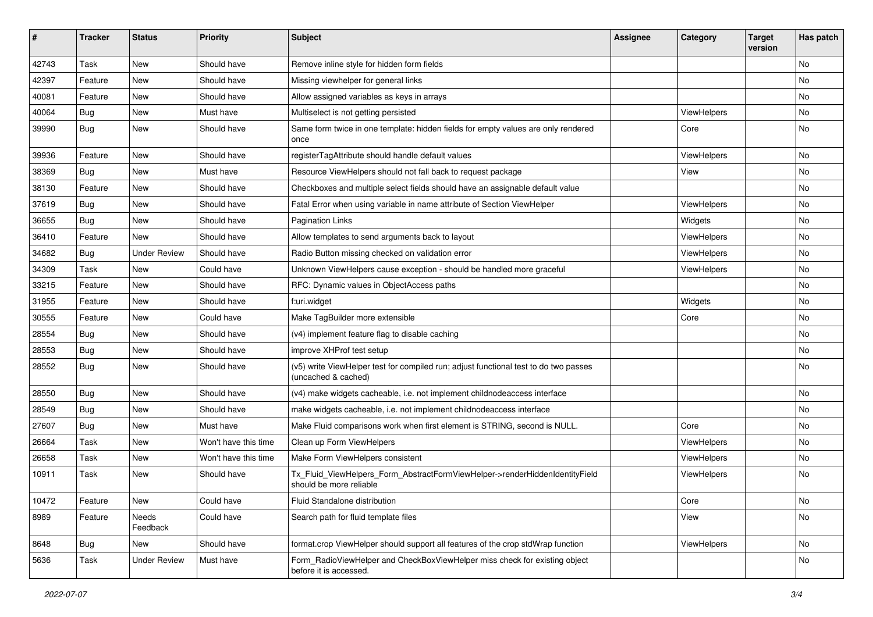| #     | <b>Tracker</b> | <b>Status</b>       | <b>Priority</b>      | Subject                                                                                                     | <b>Assignee</b> | Category    | <b>Target</b><br>version | Has patch |
|-------|----------------|---------------------|----------------------|-------------------------------------------------------------------------------------------------------------|-----------------|-------------|--------------------------|-----------|
| 42743 | Task           | New                 | Should have          | Remove inline style for hidden form fields                                                                  |                 |             |                          | <b>No</b> |
| 42397 | Feature        | New                 | Should have          | Missing viewhelper for general links                                                                        |                 |             |                          | No        |
| 40081 | Feature        | New                 | Should have          | Allow assigned variables as keys in arrays                                                                  |                 |             |                          | No        |
| 40064 | Bug            | New                 | Must have            | Multiselect is not getting persisted                                                                        |                 | ViewHelpers |                          | No        |
| 39990 | Bug            | New                 | Should have          | Same form twice in one template: hidden fields for empty values are only rendered<br>once                   |                 | Core        |                          | No        |
| 39936 | Feature        | New                 | Should have          | registerTagAttribute should handle default values                                                           |                 | ViewHelpers |                          | No        |
| 38369 | Bug            | New                 | Must have            | Resource ViewHelpers should not fall back to request package                                                |                 | View        |                          | No        |
| 38130 | Feature        | New                 | Should have          | Checkboxes and multiple select fields should have an assignable default value                               |                 |             |                          | No        |
| 37619 | Bug            | New                 | Should have          | Fatal Error when using variable in name attribute of Section ViewHelper                                     |                 | ViewHelpers |                          | No        |
| 36655 | Bug            | New                 | Should have          | <b>Pagination Links</b>                                                                                     |                 | Widgets     |                          | No        |
| 36410 | Feature        | New                 | Should have          | Allow templates to send arguments back to layout                                                            |                 | ViewHelpers |                          | No        |
| 34682 | Bug            | <b>Under Review</b> | Should have          | Radio Button missing checked on validation error                                                            |                 | ViewHelpers |                          | No        |
| 34309 | Task           | New                 | Could have           | Unknown ViewHelpers cause exception - should be handled more graceful                                       |                 | ViewHelpers |                          | No        |
| 33215 | Feature        | New                 | Should have          | RFC: Dynamic values in ObjectAccess paths                                                                   |                 |             |                          | No        |
| 31955 | Feature        | New                 | Should have          | f:uri.widget                                                                                                |                 | Widgets     |                          | No        |
| 30555 | Feature        | New                 | Could have           | Make TagBuilder more extensible                                                                             |                 | Core        |                          | No        |
| 28554 | Bug            | New                 | Should have          | (v4) implement feature flag to disable caching                                                              |                 |             |                          | No        |
| 28553 | Bug            | New                 | Should have          | improve XHProf test setup                                                                                   |                 |             |                          | <b>No</b> |
| 28552 | Bug            | New                 | Should have          | (v5) write ViewHelper test for compiled run; adjust functional test to do two passes<br>(uncached & cached) |                 |             |                          | No        |
| 28550 | Bug            | New                 | Should have          | (v4) make widgets cacheable, i.e. not implement childnodeaccess interface                                   |                 |             |                          | No        |
| 28549 | Bug            | New                 | Should have          | make widgets cacheable, i.e. not implement childnodeaccess interface                                        |                 |             |                          | No        |
| 27607 | Bug            | New                 | Must have            | Make Fluid comparisons work when first element is STRING, second is NULL.                                   |                 | Core        |                          | No        |
| 26664 | Task           | New                 | Won't have this time | Clean up Form ViewHelpers                                                                                   |                 | ViewHelpers |                          | No        |
| 26658 | Task           | New                 | Won't have this time | Make Form ViewHelpers consistent                                                                            |                 | ViewHelpers |                          | No        |
| 10911 | Task           | New                 | Should have          | Tx_Fluid_ViewHelpers_Form_AbstractFormViewHelper->renderHiddenIdentityField<br>should be more reliable      |                 | ViewHelpers |                          | <b>No</b> |
| 10472 | Feature        | New                 | Could have           | Fluid Standalone distribution                                                                               |                 | Core        |                          | No        |
| 8989  | Feature        | Needs<br>Feedback   | Could have           | Search path for fluid template files                                                                        |                 | View        |                          | No        |
| 8648  | <b>Bug</b>     | New                 | Should have          | format.crop ViewHelper should support all features of the crop stdWrap function                             |                 | ViewHelpers |                          | No        |
| 5636  | Task           | <b>Under Review</b> | Must have            | Form_RadioViewHelper and CheckBoxViewHelper miss check for existing object<br>before it is accessed.        |                 |             |                          | No        |